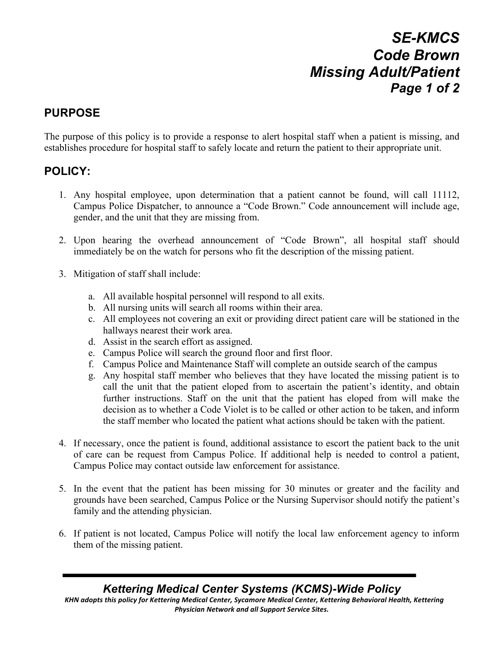# *SE-KMCS Code Brown Missing Adult/Patient Page 1 of 2*

### **PURPOSE**

The purpose of this policy is to provide a response to alert hospital staff when a patient is missing, and establishes procedure for hospital staff to safely locate and return the patient to their appropriate unit.

#### **POLICY:**

- 1. Any hospital employee, upon determination that a patient cannot be found, will call 11112, Campus Police Dispatcher, to announce a "Code Brown." Code announcement will include age, gender, and the unit that they are missing from.
- 2. Upon hearing the overhead announcement of "Code Brown", all hospital staff should immediately be on the watch for persons who fit the description of the missing patient.
- 3. Mitigation of staff shall include:
	- a. All available hospital personnel will respond to all exits.
	- b. All nursing units will search all rooms within their area.
	- c. All employees not covering an exit or providing direct patient care will be stationed in the hallways nearest their work area.
	- d. Assist in the search effort as assigned.
	- e. Campus Police will search the ground floor and first floor.
	- f. Campus Police and Maintenance Staff will complete an outside search of the campus
	- g. Any hospital staff member who believes that they have located the missing patient is to call the unit that the patient eloped from to ascertain the patient's identity, and obtain further instructions. Staff on the unit that the patient has eloped from will make the decision as to whether a Code Violet is to be called or other action to be taken, and inform the staff member who located the patient what actions should be taken with the patient.
- 4. If necessary, once the patient is found, additional assistance to escort the patient back to the unit of care can be request from Campus Police. If additional help is needed to control a patient, Campus Police may contact outside law enforcement for assistance.
- 5. In the event that the patient has been missing for 30 minutes or greater and the facility and grounds have been searched, Campus Police or the Nursing Supervisor should notify the patient's family and the attending physician.
- 6. If patient is not located, Campus Police will notify the local law enforcement agency to inform them of the missing patient.

#### *Kettering Medical Center Systems (KCMS)-Wide Policy*

KHN adopts this policy for Kettering Medical Center, Sycamore Medical Center, Kettering Behavioral Health, Kettering **Physician Network and all Support Service Sites.**